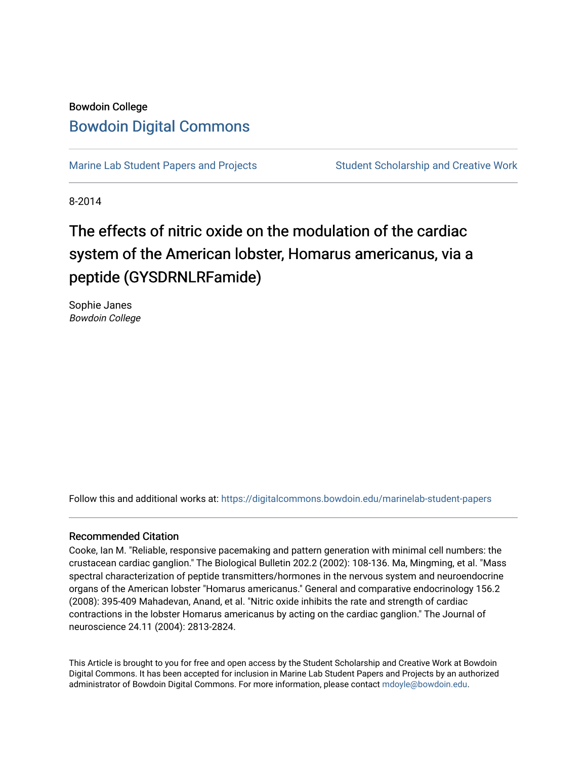# Bowdoin College [Bowdoin Digital Commons](https://digitalcommons.bowdoin.edu/)

[Marine Lab Student Papers and Projects](https://digitalcommons.bowdoin.edu/marinelab-student-papers) Student Scholarship and Creative Work

8-2014

# The effects of nitric oxide on the modulation of the cardiac system of the American lobster, Homarus americanus, via a peptide (GYSDRNLRFamide)

Sophie Janes Bowdoin College

Follow this and additional works at: [https://digitalcommons.bowdoin.edu/marinelab-student-papers](https://digitalcommons.bowdoin.edu/marinelab-student-papers?utm_source=digitalcommons.bowdoin.edu%2Fmarinelab-student-papers%2F24&utm_medium=PDF&utm_campaign=PDFCoverPages) 

#### Recommended Citation

Cooke, Ian M. "Reliable, responsive pacemaking and pattern generation with minimal cell numbers: the crustacean cardiac ganglion." The Biological Bulletin 202.2 (2002): 108-136. Ma, Mingming, et al. "Mass spectral characterization of peptide transmitters/hormones in the nervous system and neuroendocrine organs of the American lobster "Homarus americanus." General and comparative endocrinology 156.2 (2008): 395-409 Mahadevan, Anand, et al. "Nitric oxide inhibits the rate and strength of cardiac contractions in the lobster Homarus americanus by acting on the cardiac ganglion." The Journal of neuroscience 24.11 (2004): 2813-2824.

This Article is brought to you for free and open access by the Student Scholarship and Creative Work at Bowdoin Digital Commons. It has been accepted for inclusion in Marine Lab Student Papers and Projects by an authorized administrator of Bowdoin Digital Commons. For more information, please contact [mdoyle@bowdoin.edu.](mailto:mdoyle@bowdoin.edu)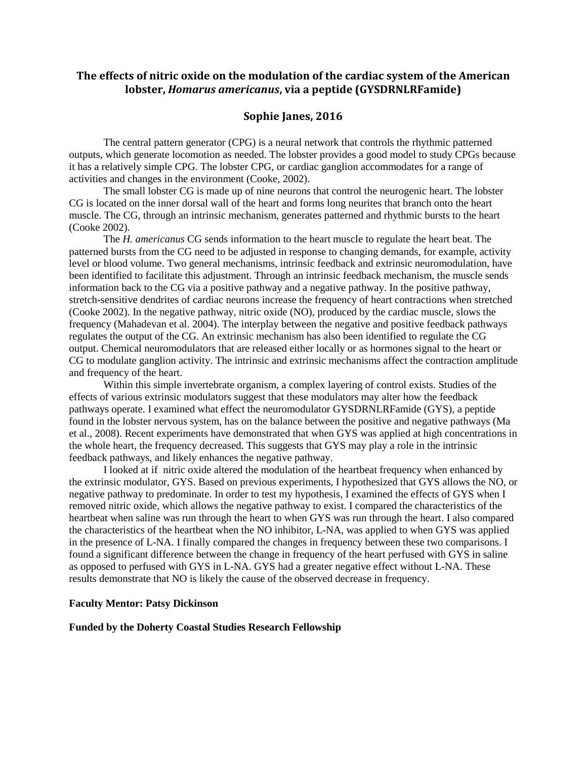## **The effects of nitric oxide on the modulation of the cardiac system of the American lobster,** *Homarus americanus***, via a peptide (GYSDRNLRFamide)**

#### **Sophie Janes, 2016**

The central pattern generator (CPG) is a neural network that controls the rhythmic patterned outputs, which generate locomotion as needed. The lobster provides a good model to study CPGs because it has a relatively simple CPG. The lobster CPG, or cardiac ganglion accommodates for a range of activities and changes in the environment (Cooke, 2002).

The small lobster CG is made up of nine neurons that control the neurogenic heart. The lobster CG is located on the inner dorsal wall of the heart and forms long neurites that branch onto the heart muscle. The CG, through an intrinsic mechanism, generates patterned and rhythmic bursts to the heart (Cooke 2002).

The *H. americanus* CG sends information to the heart muscle to regulate the heart beat. The patterned bursts from the CG need to be adjusted in response to changing demands, for example, activity level or blood volume. Two general mechanisms, intrinsic feedback and extrinsic neuromodulation, have been identified to facilitate this adjustment. Through an intrinsic feedback mechanism, the muscle sends information back to the CG via a positive pathway and a negative pathway. In the positive pathway, stretch-sensitive dendrites of cardiac neurons increase the frequency of heart contractions when stretched (Cooke 2002). In the negative pathway, nitric oxide (NO), produced by the cardiac muscle, slows the frequency (Mahadevan et al. 2004). The interplay between the negative and positive feedback pathways regulates the output of the CG. An extrinsic mechanism has also been identified to regulate the CG output. Chemical neuromodulators that are released either locally or as hormones signal to the heart or CG to modulate ganglion activity. The intrinsic and extrinsic mechanisms affect the contraction amplitude and frequency of the heart.

Within this simple invertebrate organism, a complex layering of control exists. Studies of the effects of various extrinsic modulators suggest that these modulators may alter how the feedback pathways operate. I examined what effect the neuromodulator GYSDRNLRFamide (GYS), a peptide found in the lobster nervous system, has on the balance between the positive and negative pathways (Ma et al., 2008). Recent experiments have demonstrated that when GYS was applied at high concentrations in the whole heart, the frequency decreased. This suggests that GYS may play a role in the intrinsic feedback pathways, and likely enhances the negative pathway.

I looked at if nitric oxide altered the modulation of the heartbeat frequency when enhanced by the extrinsic modulator, GYS. Based on previous experiments, I hypothesized that GYS allows the NO, or negative pathway to predominate. In order to test my hypothesis, I examined the effects of GYS when I removed nitric oxide, which allows the negative pathway to exist. I compared the characteristics of the heartbeat when saline was run through the heart to when GYS was run through the heart. I also compared the characteristics of the heartbeat when the NO inhibitor, L-NA, was applied to when GYS was applied in the presence of L-NA. I finally compared the changes in frequency between these two comparisons. I found a significant difference between the change in frequency of the heart perfused with GYS in saline as opposed to perfused with GYS in L-NA. GYS had a greater negative effect without L-NA. These results demonstrate that NO is likely the cause of the observed decrease in frequency.

#### **Faculty Mentor: Patsy Dickinson**

#### **Funded by the Doherty Coastal Studies Research Fellowship**